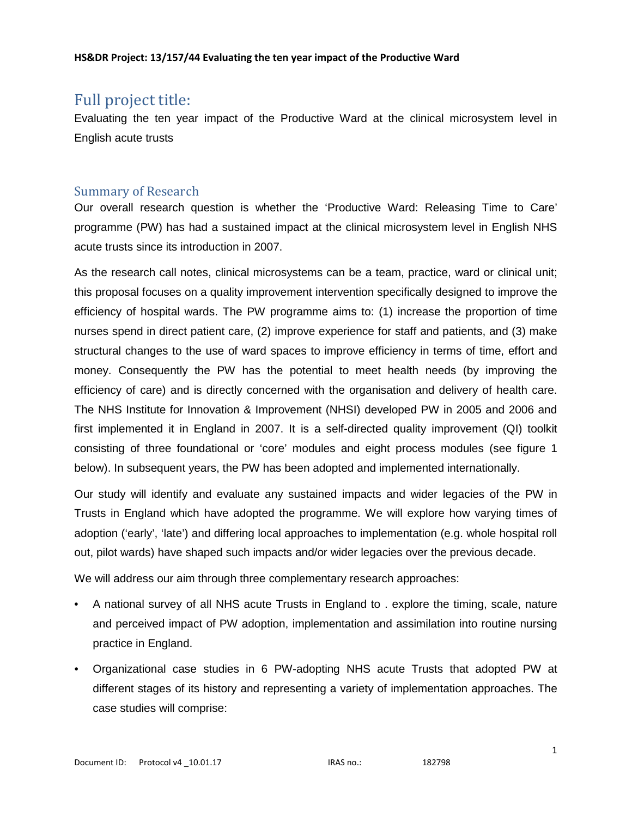# Full project title:

Evaluating the ten year impact of the Productive Ward at the clinical microsystem level in English acute trusts

# Summary of Research

Our overall research question is whether the 'Productive Ward: Releasing Time to Care' programme (PW) has had a sustained impact at the clinical microsystem level in English NHS acute trusts since its introduction in 2007.

As the research call notes, clinical microsystems can be a team, practice, ward or clinical unit; this proposal focuses on a quality improvement intervention specifically designed to improve the efficiency of hospital wards. The PW programme aims to: (1) increase the proportion of time nurses spend in direct patient care, (2) improve experience for staff and patients, and (3) make structural changes to the use of ward spaces to improve efficiency in terms of time, effort and money. Consequently the PW has the potential to meet health needs (by improving the efficiency of care) and is directly concerned with the organisation and delivery of health care. The NHS Institute for Innovation & Improvement (NHSI) developed PW in 2005 and 2006 and first implemented it in England in 2007. It is a self-directed quality improvement (QI) toolkit consisting of three foundational or 'core' modules and eight process modules (see figure 1 below). In subsequent years, the PW has been adopted and implemented internationally.

Our study will identify and evaluate any sustained impacts and wider legacies of the PW in Trusts in England which have adopted the programme. We will explore how varying times of adoption ('early', 'late') and differing local approaches to implementation (e.g. whole hospital roll out, pilot wards) have shaped such impacts and/or wider legacies over the previous decade.

We will address our aim through three complementary research approaches:

- A national survey of all NHS acute Trusts in England to . explore the timing, scale, nature and perceived impact of PW adoption, implementation and assimilation into routine nursing practice in England.
- Organizational case studies in 6 PW-adopting NHS acute Trusts that adopted PW at different stages of its history and representing a variety of implementation approaches. The case studies will comprise: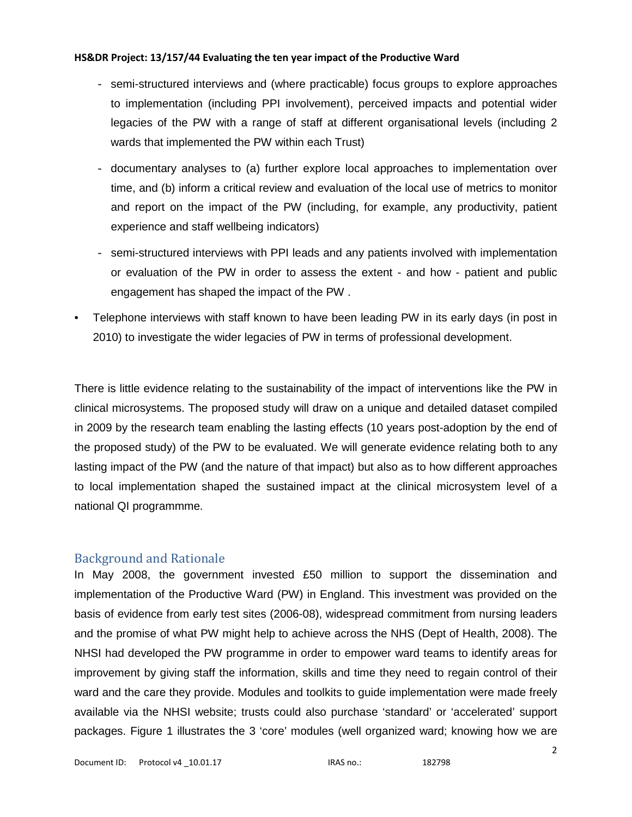- semi-structured interviews and (where practicable) focus groups to explore approaches to implementation (including PPI involvement), perceived impacts and potential wider legacies of the PW with a range of staff at different organisational levels (including 2 wards that implemented the PW within each Trust)
- documentary analyses to (a) further explore local approaches to implementation over time, and (b) inform a critical review and evaluation of the local use of metrics to monitor and report on the impact of the PW (including, for example, any productivity, patient experience and staff wellbeing indicators)
- semi-structured interviews with PPI leads and any patients involved with implementation or evaluation of the PW in order to assess the extent - and how - patient and public engagement has shaped the impact of the PW .
- Telephone interviews with staff known to have been leading PW in its early days (in post in 2010) to investigate the wider legacies of PW in terms of professional development.

There is little evidence relating to the sustainability of the impact of interventions like the PW in clinical microsystems. The proposed study will draw on a unique and detailed dataset compiled in 2009 by the research team enabling the lasting effects (10 years post-adoption by the end of the proposed study) of the PW to be evaluated. We will generate evidence relating both to any lasting impact of the PW (and the nature of that impact) but also as to how different approaches to local implementation shaped the sustained impact at the clinical microsystem level of a national QI programmme.

# Background and Rationale

In May 2008, the government invested £50 million to support the dissemination and implementation of the Productive Ward (PW) in England. This investment was provided on the basis of evidence from early test sites (2006-08), widespread commitment from nursing leaders and the promise of what PW might help to achieve across the NHS (Dept of Health, 2008). The NHSI had developed the PW programme in order to empower ward teams to identify areas for improvement by giving staff the information, skills and time they need to regain control of their ward and the care they provide. Modules and toolkits to guide implementation were made freely available via the NHSI website; trusts could also purchase 'standard' or 'accelerated' support packages. Figure 1 illustrates the 3 'core' modules (well organized ward; knowing how we are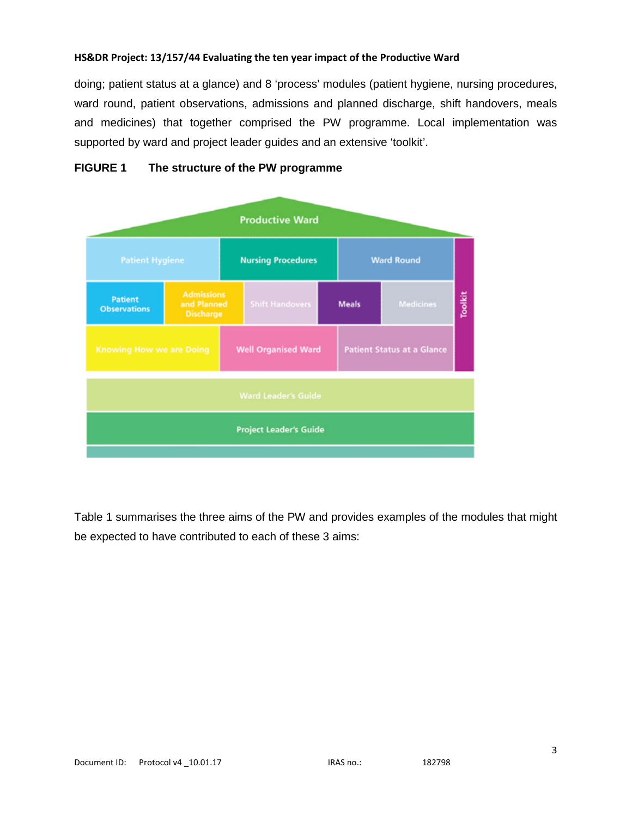doing; patient status at a glance) and 8 'process' modules (patient hygiene, nursing procedures, ward round, patient observations, admissions and planned discharge, shift handovers, meals and medicines) that together comprised the PW programme. Local implementation was supported by ward and project leader guides and an extensive 'toolkit'.



## **FIGURE 1 The structure of the PW programme**

Table 1 summarises the three aims of the PW and provides examples of the modules that might be expected to have contributed to each of these 3 aims: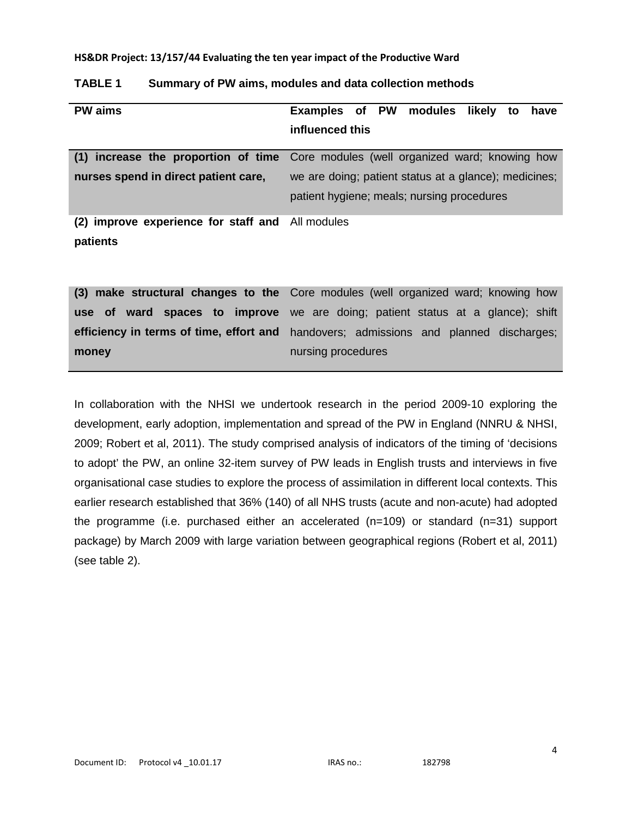| <b>PW</b> aims                                   | Examples of PW modules likely to<br>have                                           |  |
|--------------------------------------------------|------------------------------------------------------------------------------------|--|
|                                                  |                                                                                    |  |
|                                                  | influenced this                                                                    |  |
|                                                  |                                                                                    |  |
|                                                  | (1) increase the proportion of time Core modules (well organized ward; knowing how |  |
| nurses spend in direct patient care,             | we are doing; patient status at a glance); medicines;                              |  |
|                                                  | patient hygiene; meals; nursing procedures                                         |  |
| (2) improve experience for staff and All modules |                                                                                    |  |
| patients                                         |                                                                                    |  |
|                                                  |                                                                                    |  |

# **TABLE 1 Summary of PW aims, modules and data collection methods**

**(3) make structural changes to the**  Core modules (well organized ward; knowing how **use of ward spaces to improve**  we are doing; patient status at a glance); shift **efficiency in terms of time, effort and**  handovers; admissions and planned discharges; **money** nursing procedures

In collaboration with the NHSI we undertook research in the period 2009-10 exploring the development, early adoption, implementation and spread of the PW in England (NNRU & NHSI, 2009; Robert et al, 2011). The study comprised analysis of indicators of the timing of 'decisions to adopt' the PW, an online 32-item survey of PW leads in English trusts and interviews in five organisational case studies to explore the process of assimilation in different local contexts. This earlier research established that 36% (140) of all NHS trusts (acute and non-acute) had adopted the programme (i.e. purchased either an accelerated (n=109) or standard (n=31) support package) by March 2009 with large variation between geographical regions (Robert et al, 2011) (see table 2).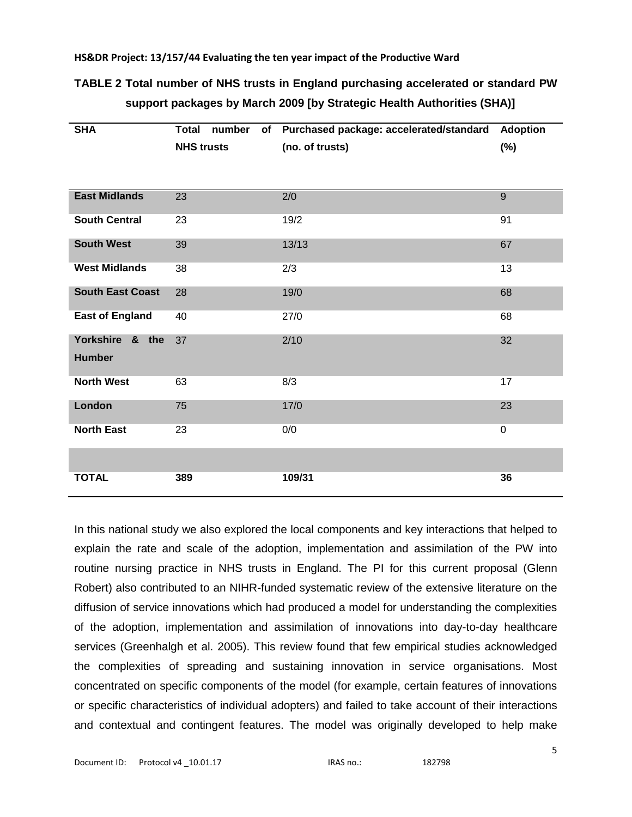# **TABLE 2 Total number of NHS trusts in England purchasing accelerated or standard PW support packages by March 2009 [by Strategic Health Authorities (SHA)]**

| <b>SHA</b>              | <b>Total</b><br>number | of Purchased package: accelerated/standard | <b>Adoption</b> |
|-------------------------|------------------------|--------------------------------------------|-----------------|
|                         | <b>NHS trusts</b>      | (no. of trusts)                            | (%)             |
|                         |                        |                                            |                 |
|                         |                        |                                            |                 |
| <b>East Midlands</b>    | 23                     | 2/0                                        | 9               |
| <b>South Central</b>    | 23                     | 19/2                                       | 91              |
| <b>South West</b>       | 39                     | 13/13                                      | 67              |
| <b>West Midlands</b>    | 38                     | 2/3                                        | 13              |
| <b>South East Coast</b> | 28                     | 19/0                                       | 68              |
| <b>East of England</b>  | 40                     | 27/0                                       | 68              |
| Yorkshire & the         | 37                     | 2/10                                       | 32              |
| <b>Humber</b>           |                        |                                            |                 |
| <b>North West</b>       | 63                     | 8/3                                        | 17              |
| London                  | 75                     | 17/0                                       | 23              |
| <b>North East</b>       | 23                     | 0/0                                        | $\mathbf 0$     |
|                         |                        |                                            |                 |
| <b>TOTAL</b>            | 389                    | 109/31                                     | 36              |

In this national study we also explored the local components and key interactions that helped to explain the rate and scale of the adoption, implementation and assimilation of the PW into routine nursing practice in NHS trusts in England. The PI for this current proposal (Glenn Robert) also contributed to an NIHR-funded systematic review of the extensive literature on the diffusion of service innovations which had produced a model for understanding the complexities of the adoption, implementation and assimilation of innovations into day-to-day healthcare services (Greenhalgh et al. 2005). This review found that few empirical studies acknowledged the complexities of spreading and sustaining innovation in service organisations. Most concentrated on specific components of the model (for example, certain features of innovations or specific characteristics of individual adopters) and failed to take account of their interactions and contextual and contingent features. The model was originally developed to help make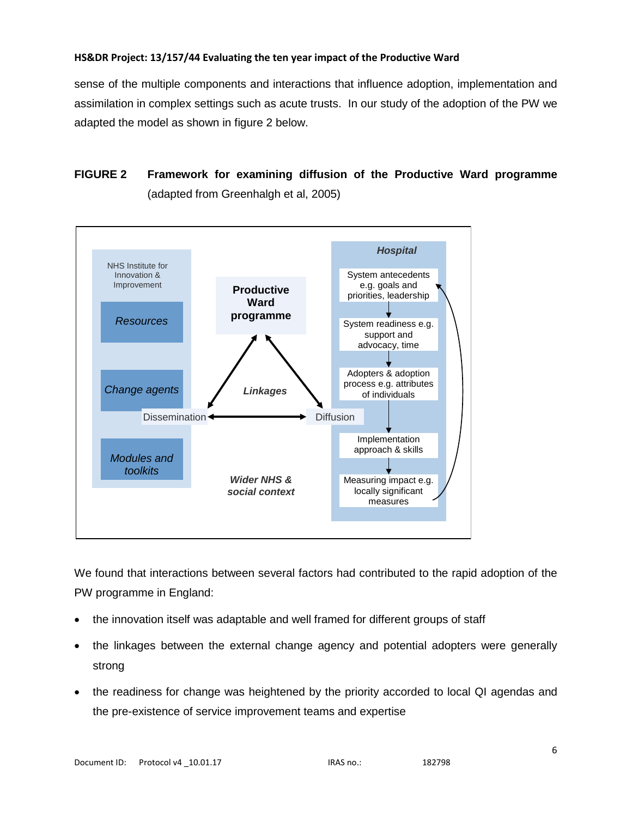sense of the multiple components and interactions that influence adoption, implementation and assimilation in complex settings such as acute trusts. In our study of the adoption of the PW we adapted the model as shown in figure 2 below.

# **FIGURE 2 Framework for examining diffusion of the Productive Ward programme**  (adapted from Greenhalgh et al, 2005)



We found that interactions between several factors had contributed to the rapid adoption of the PW programme in England:

- the innovation itself was adaptable and well framed for different groups of staff
- the linkages between the external change agency and potential adopters were generally strong
- the readiness for change was heightened by the priority accorded to local QI agendas and the pre-existence of service improvement teams and expertise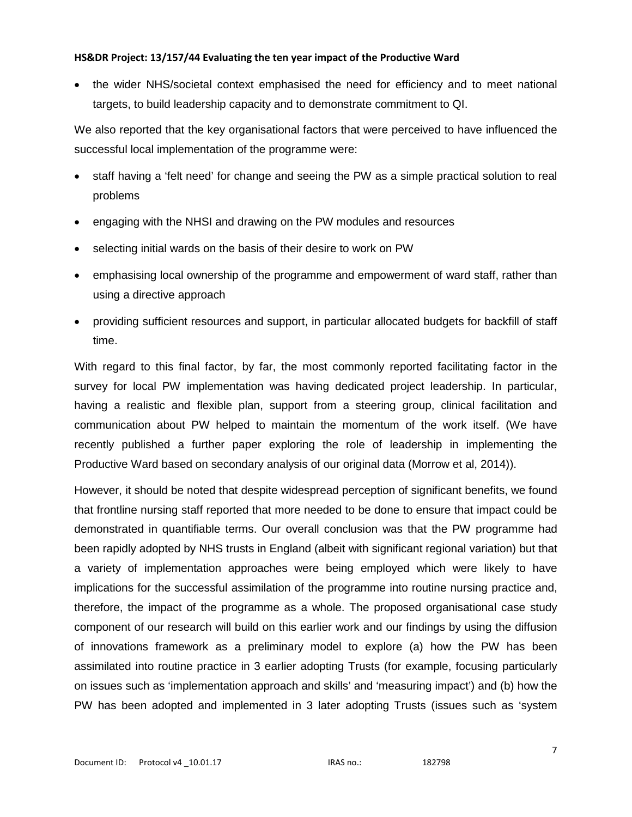• the wider NHS/societal context emphasised the need for efficiency and to meet national targets, to build leadership capacity and to demonstrate commitment to QI.

We also reported that the key organisational factors that were perceived to have influenced the successful local implementation of the programme were:

- staff having a 'felt need' for change and seeing the PW as a simple practical solution to real problems
- engaging with the NHSI and drawing on the PW modules and resources
- selecting initial wards on the basis of their desire to work on PW
- emphasising local ownership of the programme and empowerment of ward staff, rather than using a directive approach
- providing sufficient resources and support, in particular allocated budgets for backfill of staff time.

With regard to this final factor, by far, the most commonly reported facilitating factor in the survey for local PW implementation was having dedicated project leadership. In particular, having a realistic and flexible plan, support from a steering group, clinical facilitation and communication about PW helped to maintain the momentum of the work itself. (We have recently published a further paper exploring the role of leadership in implementing the Productive Ward based on secondary analysis of our original data (Morrow et al, 2014)).

However, it should be noted that despite widespread perception of significant benefits, we found that frontline nursing staff reported that more needed to be done to ensure that impact could be demonstrated in quantifiable terms. Our overall conclusion was that the PW programme had been rapidly adopted by NHS trusts in England (albeit with significant regional variation) but that a variety of implementation approaches were being employed which were likely to have implications for the successful assimilation of the programme into routine nursing practice and, therefore, the impact of the programme as a whole. The proposed organisational case study component of our research will build on this earlier work and our findings by using the diffusion of innovations framework as a preliminary model to explore (a) how the PW has been assimilated into routine practice in 3 earlier adopting Trusts (for example, focusing particularly on issues such as 'implementation approach and skills' and 'measuring impact') and (b) how the PW has been adopted and implemented in 3 later adopting Trusts (issues such as 'system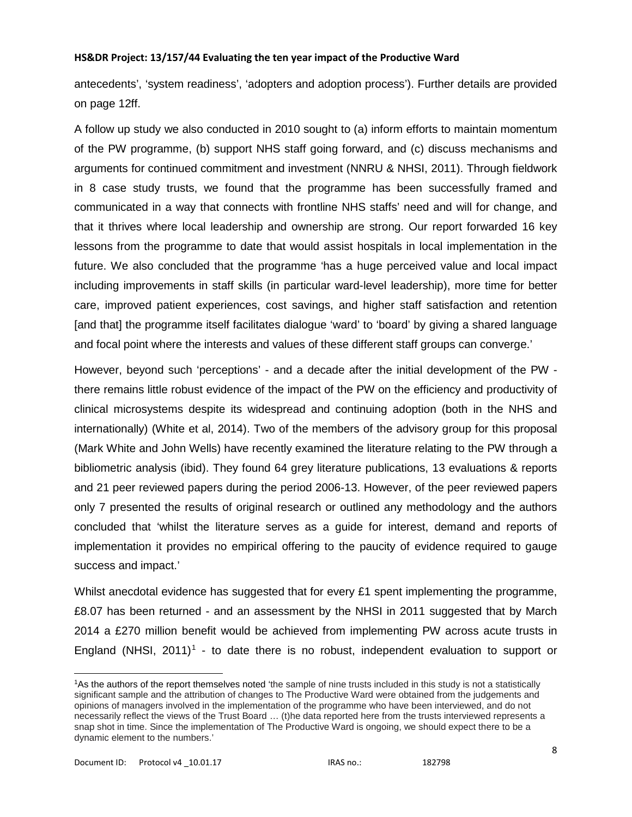antecedents', 'system readiness', 'adopters and adoption process'). Further details are provided on page 12ff.

A follow up study we also conducted in 2010 sought to (a) inform efforts to maintain momentum of the PW programme, (b) support NHS staff going forward, and (c) discuss mechanisms and arguments for continued commitment and investment (NNRU & NHSI, 2011). Through fieldwork in 8 case study trusts, we found that the programme has been successfully framed and communicated in a way that connects with frontline NHS staffs' need and will for change, and that it thrives where local leadership and ownership are strong. Our report forwarded 16 key lessons from the programme to date that would assist hospitals in local implementation in the future. We also concluded that the programme 'has a huge perceived value and local impact including improvements in staff skills (in particular ward-level leadership), more time for better care, improved patient experiences, cost savings, and higher staff satisfaction and retention [and that] the programme itself facilitates dialogue 'ward' to 'board' by giving a shared language and focal point where the interests and values of these different staff groups can converge.'

However, beyond such 'perceptions' - and a decade after the initial development of the PW there remains little robust evidence of the impact of the PW on the efficiency and productivity of clinical microsystems despite its widespread and continuing adoption (both in the NHS and internationally) (White et al, 2014). Two of the members of the advisory group for this proposal (Mark White and John Wells) have recently examined the literature relating to the PW through a bibliometric analysis (ibid). They found 64 grey literature publications, 13 evaluations & reports and 21 peer reviewed papers during the period 2006-13. However, of the peer reviewed papers only 7 presented the results of original research or outlined any methodology and the authors concluded that 'whilst the literature serves as a guide for interest, demand and reports of implementation it provides no empirical offering to the paucity of evidence required to gauge success and impact.'

Whilst anecdotal evidence has suggested that for every £1 spent implementing the programme, £8.07 has been returned - and an assessment by the NHSI in 2011 suggested that by March 2014 a £270 million benefit would be achieved from implementing PW across acute trusts in England (NHSI,  $2011$  $2011$  $2011$ <sup>1</sup> - to date there is no robust, independent evaluation to support or

 $\overline{a}$ 

<span id="page-7-0"></span><sup>1</sup>As the authors of the report themselves noted 'the sample of nine trusts included in this study is not a statistically significant sample and the attribution of changes to The Productive Ward were obtained from the judgements and opinions of managers involved in the implementation of the programme who have been interviewed, and do not necessarily reflect the views of the Trust Board … (t)he data reported here from the trusts interviewed represents a snap shot in time. Since the implementation of The Productive Ward is ongoing, we should expect there to be a dynamic element to the numbers.'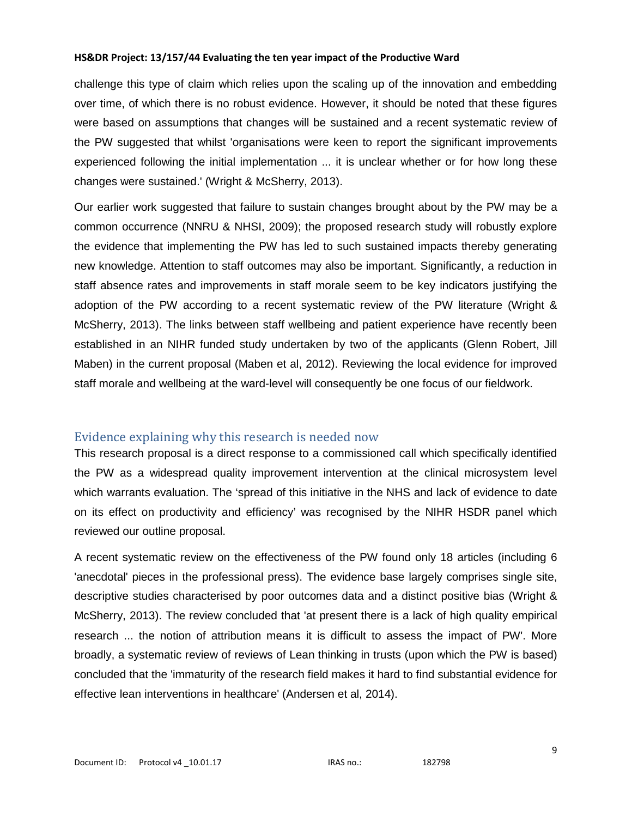challenge this type of claim which relies upon the scaling up of the innovation and embedding over time, of which there is no robust evidence. However, it should be noted that these figures were based on assumptions that changes will be sustained and a recent systematic review of the PW suggested that whilst 'organisations were keen to report the significant improvements experienced following the initial implementation ... it is unclear whether or for how long these changes were sustained.' (Wright & McSherry, 2013).

Our earlier work suggested that failure to sustain changes brought about by the PW may be a common occurrence (NNRU & NHSI, 2009); the proposed research study will robustly explore the evidence that implementing the PW has led to such sustained impacts thereby generating new knowledge. Attention to staff outcomes may also be important. Significantly, a reduction in staff absence rates and improvements in staff morale seem to be key indicators justifying the adoption of the PW according to a recent systematic review of the PW literature (Wright & McSherry, 2013). The links between staff wellbeing and patient experience have recently been established in an NIHR funded study undertaken by two of the applicants (Glenn Robert, Jill Maben) in the current proposal (Maben et al, 2012). Reviewing the local evidence for improved staff morale and wellbeing at the ward-level will consequently be one focus of our fieldwork.

# Evidence explaining why this research is needed now

This research proposal is a direct response to a commissioned call which specifically identified the PW as a widespread quality improvement intervention at the clinical microsystem level which warrants evaluation. The 'spread of this initiative in the NHS and lack of evidence to date on its effect on productivity and efficiency' was recognised by the NIHR HSDR panel which reviewed our outline proposal.

A recent systematic review on the effectiveness of the PW found only 18 articles (including 6 'anecdotal' pieces in the professional press). The evidence base largely comprises single site, descriptive studies characterised by poor outcomes data and a distinct positive bias (Wright & McSherry, 2013). The review concluded that 'at present there is a lack of high quality empirical research ... the notion of attribution means it is difficult to assess the impact of PW'. More broadly, a systematic review of reviews of Lean thinking in trusts (upon which the PW is based) concluded that the 'immaturity of the research field makes it hard to find substantial evidence for effective lean interventions in healthcare' (Andersen et al, 2014).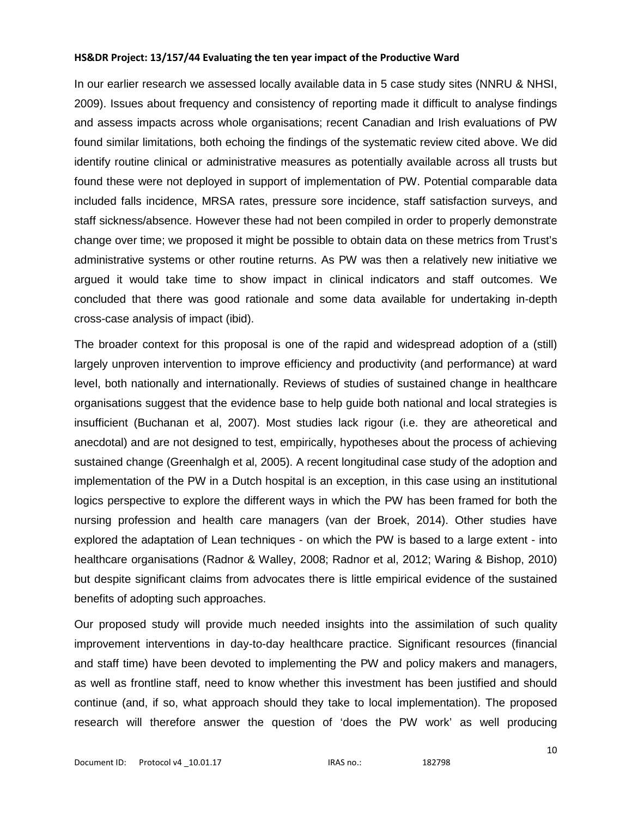In our earlier research we assessed locally available data in 5 case study sites (NNRU & NHSI, 2009). Issues about frequency and consistency of reporting made it difficult to analyse findings and assess impacts across whole organisations; recent Canadian and Irish evaluations of PW found similar limitations, both echoing the findings of the systematic review cited above. We did identify routine clinical or administrative measures as potentially available across all trusts but found these were not deployed in support of implementation of PW. Potential comparable data included falls incidence, MRSA rates, pressure sore incidence, staff satisfaction surveys, and staff sickness/absence. However these had not been compiled in order to properly demonstrate change over time; we proposed it might be possible to obtain data on these metrics from Trust's administrative systems or other routine returns. As PW was then a relatively new initiative we argued it would take time to show impact in clinical indicators and staff outcomes. We concluded that there was good rationale and some data available for undertaking in-depth cross-case analysis of impact (ibid).

The broader context for this proposal is one of the rapid and widespread adoption of a (still) largely unproven intervention to improve efficiency and productivity (and performance) at ward level, both nationally and internationally. Reviews of studies of sustained change in healthcare organisations suggest that the evidence base to help guide both national and local strategies is insufficient (Buchanan et al, 2007). Most studies lack rigour (i.e. they are atheoretical and anecdotal) and are not designed to test, empirically, hypotheses about the process of achieving sustained change (Greenhalgh et al, 2005). A recent longitudinal case study of the adoption and implementation of the PW in a Dutch hospital is an exception, in this case using an institutional logics perspective to explore the different ways in which the PW has been framed for both the nursing profession and health care managers (van der Broek, 2014). Other studies have explored the adaptation of Lean techniques - on which the PW is based to a large extent - into healthcare organisations (Radnor & Walley, 2008; Radnor et al, 2012; Waring & Bishop, 2010) but despite significant claims from advocates there is little empirical evidence of the sustained benefits of adopting such approaches.

Our proposed study will provide much needed insights into the assimilation of such quality improvement interventions in day-to-day healthcare practice. Significant resources (financial and staff time) have been devoted to implementing the PW and policy makers and managers, as well as frontline staff, need to know whether this investment has been justified and should continue (and, if so, what approach should they take to local implementation). The proposed research will therefore answer the question of 'does the PW work' as well producing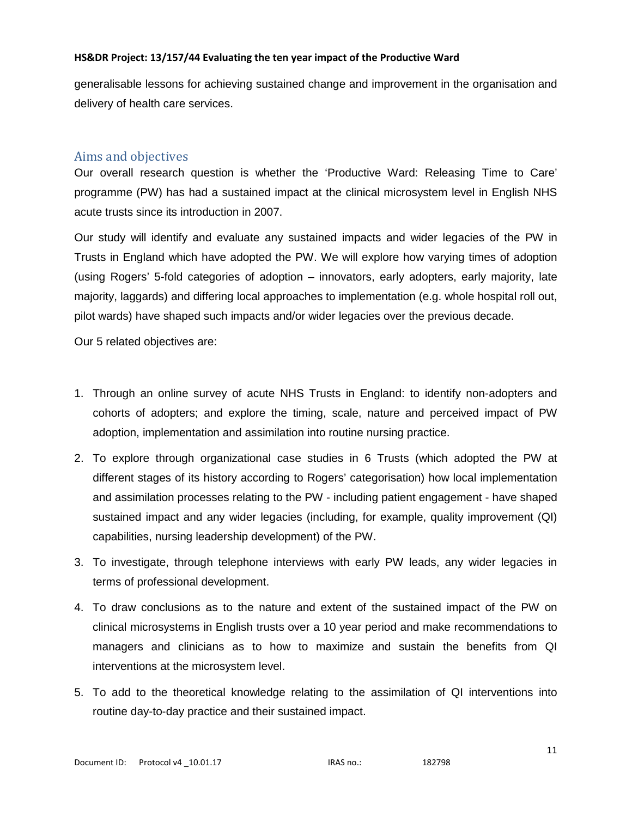generalisable lessons for achieving sustained change and improvement in the organisation and delivery of health care services.

# Aims and objectives

Our overall research question is whether the 'Productive Ward: Releasing Time to Care' programme (PW) has had a sustained impact at the clinical microsystem level in English NHS acute trusts since its introduction in 2007.

Our study will identify and evaluate any sustained impacts and wider legacies of the PW in Trusts in England which have adopted the PW. We will explore how varying times of adoption (using Rogers' 5-fold categories of adoption – innovators, early adopters, early majority, late majority, laggards) and differing local approaches to implementation (e.g. whole hospital roll out, pilot wards) have shaped such impacts and/or wider legacies over the previous decade.

Our 5 related objectives are:

- 1. Through an online survey of acute NHS Trusts in England: to identify non-adopters and cohorts of adopters; and explore the timing, scale, nature and perceived impact of PW adoption, implementation and assimilation into routine nursing practice.
- 2. To explore through organizational case studies in 6 Trusts (which adopted the PW at different stages of its history according to Rogers' categorisation) how local implementation and assimilation processes relating to the PW - including patient engagement - have shaped sustained impact and any wider legacies (including, for example, quality improvement (QI) capabilities, nursing leadership development) of the PW.
- 3. To investigate, through telephone interviews with early PW leads, any wider legacies in terms of professional development.
- 4. To draw conclusions as to the nature and extent of the sustained impact of the PW on clinical microsystems in English trusts over a 10 year period and make recommendations to managers and clinicians as to how to maximize and sustain the benefits from QI interventions at the microsystem level.
- 5. To add to the theoretical knowledge relating to the assimilation of QI interventions into routine day-to-day practice and their sustained impact.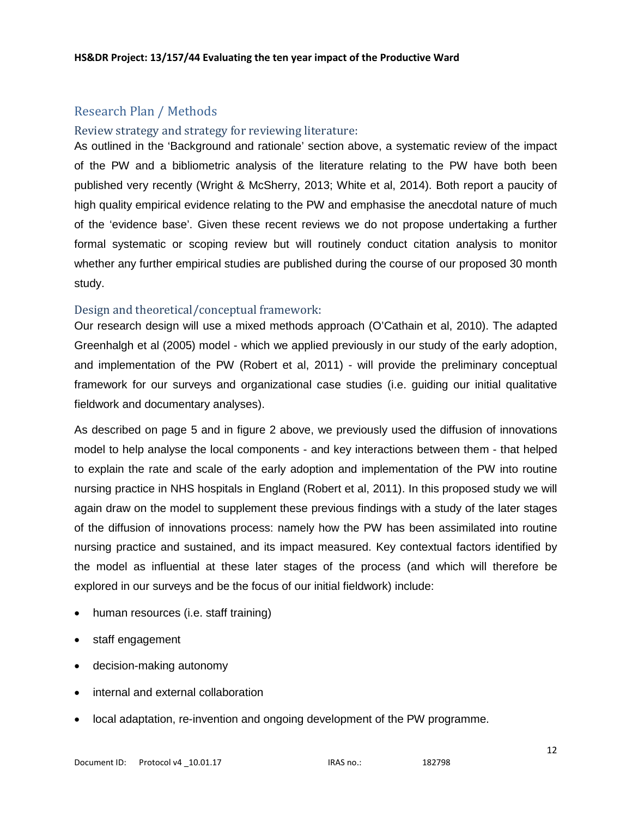# Research Plan / Methods

## Review strategy and strategy for reviewing literature:

As outlined in the 'Background and rationale' section above, a systematic review of the impact of the PW and a bibliometric analysis of the literature relating to the PW have both been published very recently (Wright & McSherry, 2013; White et al, 2014). Both report a paucity of high quality empirical evidence relating to the PW and emphasise the anecdotal nature of much of the 'evidence base'. Given these recent reviews we do not propose undertaking a further formal systematic or scoping review but will routinely conduct citation analysis to monitor whether any further empirical studies are published during the course of our proposed 30 month study.

## Design and theoretical/conceptual framework:

Our research design will use a mixed methods approach (O'Cathain et al, 2010). The adapted Greenhalgh et al (2005) model - which we applied previously in our study of the early adoption, and implementation of the PW (Robert et al, 2011) - will provide the preliminary conceptual framework for our surveys and organizational case studies (i.e. guiding our initial qualitative fieldwork and documentary analyses).

As described on page 5 and in figure 2 above, we previously used the diffusion of innovations model to help analyse the local components - and key interactions between them - that helped to explain the rate and scale of the early adoption and implementation of the PW into routine nursing practice in NHS hospitals in England (Robert et al, 2011). In this proposed study we will again draw on the model to supplement these previous findings with a study of the later stages of the diffusion of innovations process: namely how the PW has been assimilated into routine nursing practice and sustained, and its impact measured. Key contextual factors identified by the model as influential at these later stages of the process (and which will therefore be explored in our surveys and be the focus of our initial fieldwork) include:

- human resources (i.e. staff training)
- staff engagement
- decision-making autonomy
- internal and external collaboration
- local adaptation, re-invention and ongoing development of the PW programme.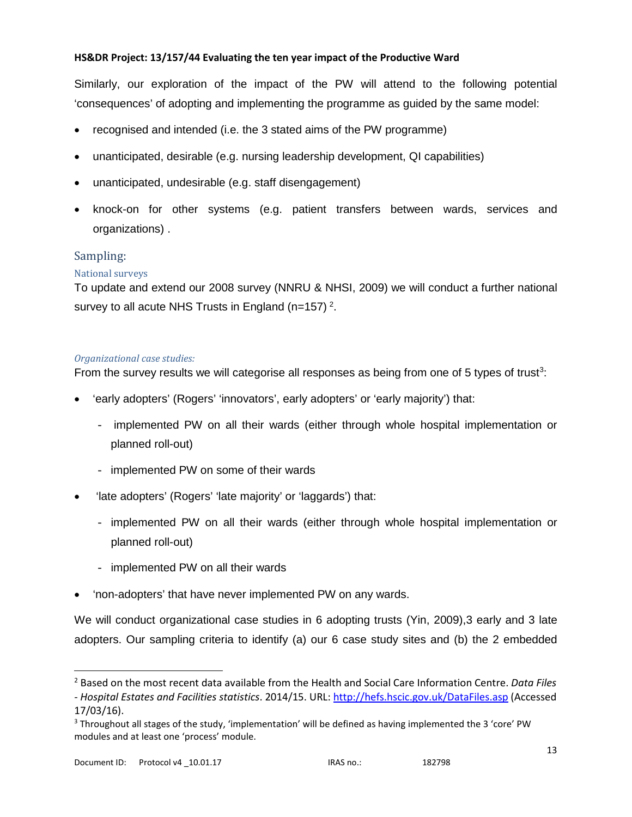Similarly, our exploration of the impact of the PW will attend to the following potential 'consequences' of adopting and implementing the programme as guided by the same model:

- recognised and intended (i.e. the 3 stated aims of the PW programme)
- unanticipated, desirable (e.g. nursing leadership development, QI capabilities)
- unanticipated, undesirable (e.g. staff disengagement)
- knock-on for other systems (e.g. patient transfers between wards, services and organizations) .

# Sampling:

## National surveys

To update and extend our 2008 survey (NNRU & NHSI, 2009) we will conduct a further national survey to all acute NHS Trusts in England (n=157)<sup>[2](#page-12-0)</sup>.

### *Organizational case studies:*

From the survey results we will categorise all responses as being from one of 5 types of trust<sup>[3](#page-12-1)</sup>:

- 'early adopters' (Rogers' 'innovators', early adopters' or 'early majority') that:
	- implemented PW on all their wards (either through whole hospital implementation or planned roll-out)
	- implemented PW on some of their wards
- 'late adopters' (Rogers' 'late majority' or 'laggards') that:
	- implemented PW on all their wards (either through whole hospital implementation or planned roll-out)
	- implemented PW on all their wards
- 'non-adopters' that have never implemented PW on any wards.

We will conduct organizational case studies in 6 adopting trusts (Yin, 2009), 3 early and 3 late adopters. Our sampling criteria to identify (a) our 6 case study sites and (b) the 2 embedded

<span id="page-12-0"></span> <sup>2</sup> Based on the most recent data available from the Health and Social Care Information Centre. *Data Files - Hospital Estates and Facilities statistics*. 2014/15. URL:<http://hefs.hscic.gov.uk/DataFiles.asp> (Accessed 17/03/16).

<span id="page-12-1"></span><sup>3</sup> Throughout all stages of the study, 'implementation' will be defined as having implemented the 3 'core' PW modules and at least one 'process' module.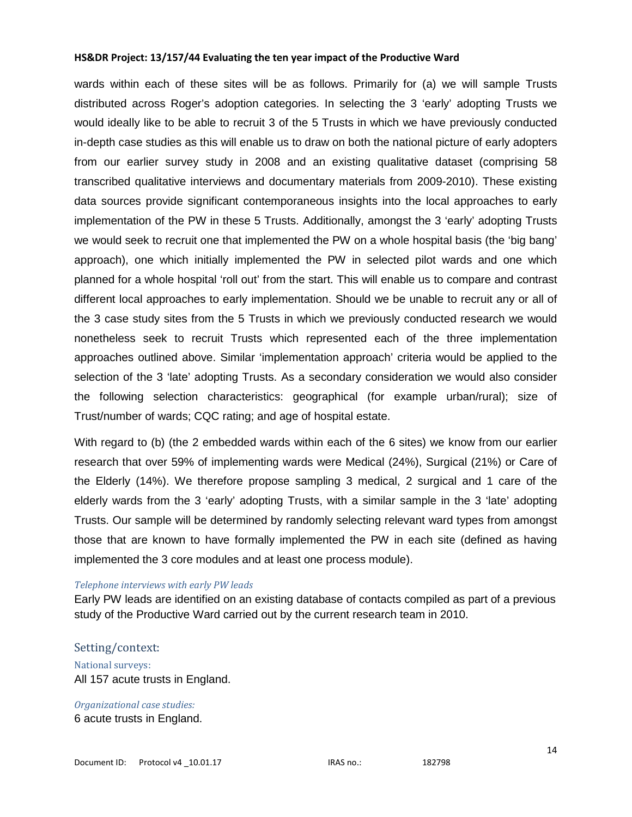wards within each of these sites will be as follows. Primarily for (a) we will sample Trusts distributed across Roger's adoption categories. In selecting the 3 'early' adopting Trusts we would ideally like to be able to recruit 3 of the 5 Trusts in which we have previously conducted in-depth case studies as this will enable us to draw on both the national picture of early adopters from our earlier survey study in 2008 and an existing qualitative dataset (comprising 58 transcribed qualitative interviews and documentary materials from 2009-2010). These existing data sources provide significant contemporaneous insights into the local approaches to early implementation of the PW in these 5 Trusts. Additionally, amongst the 3 'early' adopting Trusts we would seek to recruit one that implemented the PW on a whole hospital basis (the 'big bang' approach), one which initially implemented the PW in selected pilot wards and one which planned for a whole hospital 'roll out' from the start. This will enable us to compare and contrast different local approaches to early implementation. Should we be unable to recruit any or all of the 3 case study sites from the 5 Trusts in which we previously conducted research we would nonetheless seek to recruit Trusts which represented each of the three implementation approaches outlined above. Similar 'implementation approach' criteria would be applied to the selection of the 3 'late' adopting Trusts. As a secondary consideration we would also consider the following selection characteristics: geographical (for example urban/rural); size of Trust/number of wards; CQC rating; and age of hospital estate.

With regard to (b) (the 2 embedded wards within each of the 6 sites) we know from our earlier research that over 59% of implementing wards were Medical (24%), Surgical (21%) or Care of the Elderly (14%). We therefore propose sampling 3 medical, 2 surgical and 1 care of the elderly wards from the 3 'early' adopting Trusts, with a similar sample in the 3 'late' adopting Trusts. Our sample will be determined by randomly selecting relevant ward types from amongst those that are known to have formally implemented the PW in each site (defined as having implemented the 3 core modules and at least one process module).

#### *Telephone interviews with early PW leads*

Early PW leads are identified on an existing database of contacts compiled as part of a previous study of the Productive Ward carried out by the current research team in 2010.

#### Setting/context:

National surveys: All 157 acute trusts in England.

*Organizational case studies:* 6 acute trusts in England.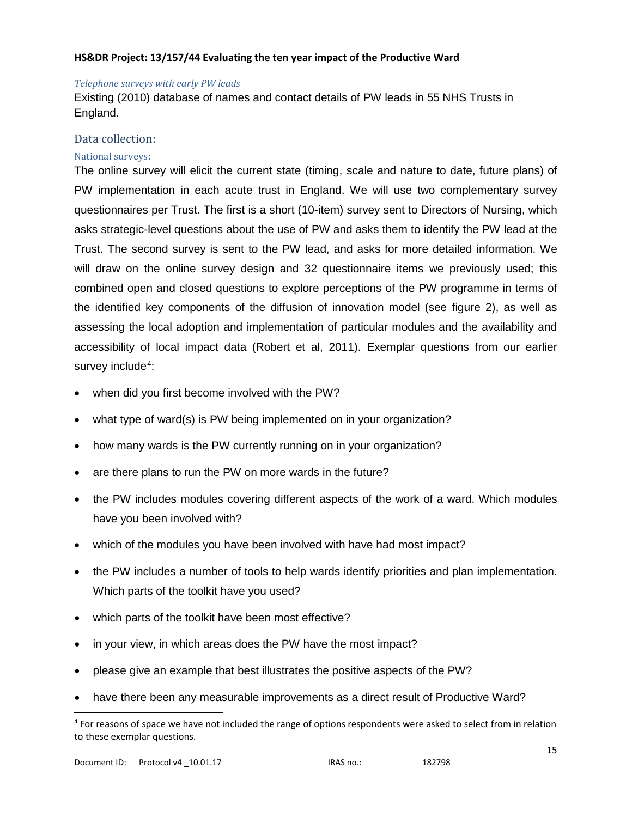#### *Telephone surveys with early PW leads*

Existing (2010) database of names and contact details of PW leads in 55 NHS Trusts in England.

## Data collection:

## National surveys:

The online survey will elicit the current state (timing, scale and nature to date, future plans) of PW implementation in each acute trust in England. We will use two complementary survey questionnaires per Trust. The first is a short (10-item) survey sent to Directors of Nursing, which asks strategic-level questions about the use of PW and asks them to identify the PW lead at the Trust. The second survey is sent to the PW lead, and asks for more detailed information. We will draw on the online survey design and 32 questionnaire items we previously used; this combined open and closed questions to explore perceptions of the PW programme in terms of the identified key components of the diffusion of innovation model (see figure 2), as well as assessing the local adoption and implementation of particular modules and the availability and accessibility of local impact data (Robert et al, 2011). Exemplar questions from our earlier survey include<sup>[4](#page-14-0)</sup>:

- when did you first become involved with the PW?
- what type of ward(s) is PW being implemented on in your organization?
- how many wards is the PW currently running on in your organization?
- are there plans to run the PW on more wards in the future?
- the PW includes modules covering different aspects of the work of a ward. Which modules have you been involved with?
- which of the modules you have been involved with have had most impact?
- the PW includes a number of tools to help wards identify priorities and plan implementation. Which parts of the toolkit have you used?
- which parts of the toolkit have been most effective?
- in your view, in which areas does the PW have the most impact?
- please give an example that best illustrates the positive aspects of the PW?
- have there been any measurable improvements as a direct result of Productive Ward?

<span id="page-14-0"></span><sup>&</sup>lt;sup>4</sup> For reasons of space we have not included the range of options respondents were asked to select from in relation to these exemplar questions.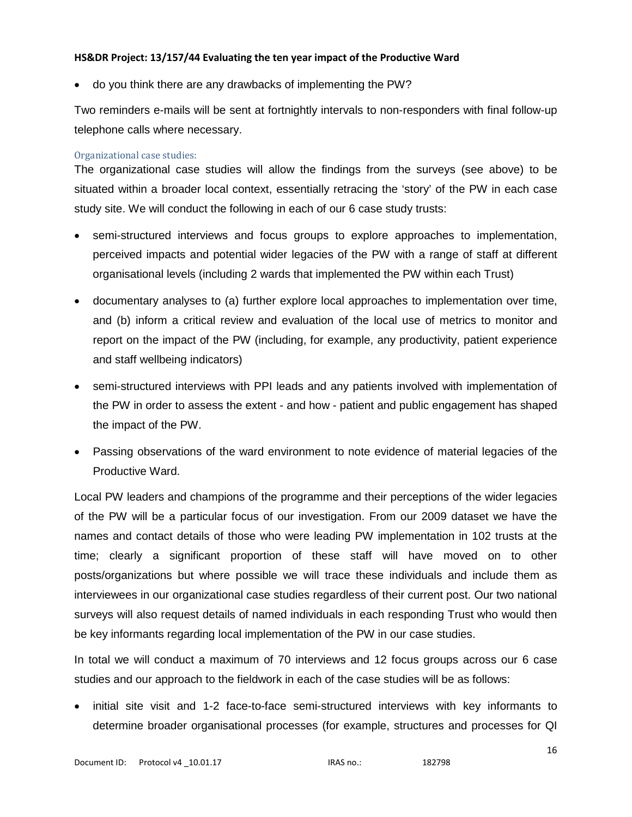• do you think there are any drawbacks of implementing the PW?

Two reminders e-mails will be sent at fortnightly intervals to non-responders with final follow-up telephone calls where necessary.

### Organizational case studies:

The organizational case studies will allow the findings from the surveys (see above) to be situated within a broader local context, essentially retracing the 'story' of the PW in each case study site. We will conduct the following in each of our 6 case study trusts:

- semi-structured interviews and focus groups to explore approaches to implementation, perceived impacts and potential wider legacies of the PW with a range of staff at different organisational levels (including 2 wards that implemented the PW within each Trust)
- documentary analyses to (a) further explore local approaches to implementation over time, and (b) inform a critical review and evaluation of the local use of metrics to monitor and report on the impact of the PW (including, for example, any productivity, patient experience and staff wellbeing indicators)
- semi-structured interviews with PPI leads and any patients involved with implementation of the PW in order to assess the extent - and how - patient and public engagement has shaped the impact of the PW.
- Passing observations of the ward environment to note evidence of material legacies of the Productive Ward.

Local PW leaders and champions of the programme and their perceptions of the wider legacies of the PW will be a particular focus of our investigation. From our 2009 dataset we have the names and contact details of those who were leading PW implementation in 102 trusts at the time; clearly a significant proportion of these staff will have moved on to other posts/organizations but where possible we will trace these individuals and include them as interviewees in our organizational case studies regardless of their current post. Our two national surveys will also request details of named individuals in each responding Trust who would then be key informants regarding local implementation of the PW in our case studies.

In total we will conduct a maximum of 70 interviews and 12 focus groups across our 6 case studies and our approach to the fieldwork in each of the case studies will be as follows:

• initial site visit and 1-2 face-to-face semi-structured interviews with key informants to determine broader organisational processes (for example, structures and processes for QI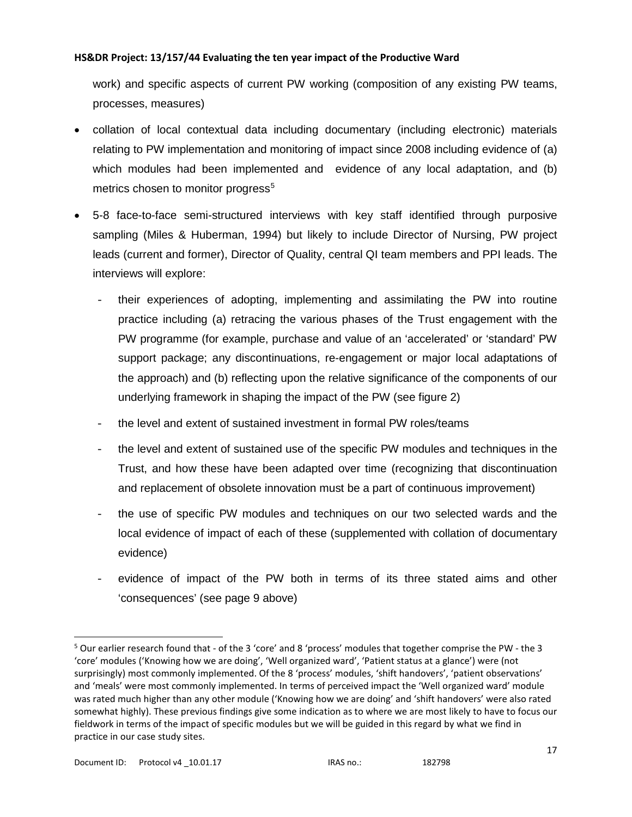work) and specific aspects of current PW working (composition of any existing PW teams, processes, measures)

- collation of local contextual data including documentary (including electronic) materials relating to PW implementation and monitoring of impact since 2008 including evidence of (a) which modules had been implemented and evidence of any local adaptation, and (b) metrics chosen to monitor progress<sup>[5](#page-16-0)</sup>
- 5-8 face-to-face semi-structured interviews with key staff identified through purposive sampling (Miles & Huberman, 1994) but likely to include Director of Nursing, PW project leads (current and former), Director of Quality, central QI team members and PPI leads. The interviews will explore:
	- their experiences of adopting, implementing and assimilating the PW into routine practice including (a) retracing the various phases of the Trust engagement with the PW programme (for example, purchase and value of an 'accelerated' or 'standard' PW support package; any discontinuations, re-engagement or major local adaptations of the approach) and (b) reflecting upon the relative significance of the components of our underlying framework in shaping the impact of the PW (see figure 2)
	- the level and extent of sustained investment in formal PW roles/teams
	- the level and extent of sustained use of the specific PW modules and techniques in the Trust, and how these have been adapted over time (recognizing that discontinuation and replacement of obsolete innovation must be a part of continuous improvement)
	- the use of specific PW modules and techniques on our two selected wards and the local evidence of impact of each of these (supplemented with collation of documentary evidence)
	- evidence of impact of the PW both in terms of its three stated aims and other 'consequences' (see page 9 above)

<span id="page-16-0"></span> <sup>5</sup> Our earlier research found that - of the 3 'core' and 8 'process' modules that together comprise the PW - the 3 'core' modules ('Knowing how we are doing', 'Well organized ward', 'Patient status at a glance') were (not surprisingly) most commonly implemented. Of the 8 'process' modules, 'shift handovers', 'patient observations' and 'meals' were most commonly implemented. In terms of perceived impact the 'Well organized ward' module was rated much higher than any other module ('Knowing how we are doing' and 'shift handovers' were also rated somewhat highly). These previous findings give some indication as to where we are most likely to have to focus our fieldwork in terms of the impact of specific modules but we will be guided in this regard by what we find in practice in our case study sites.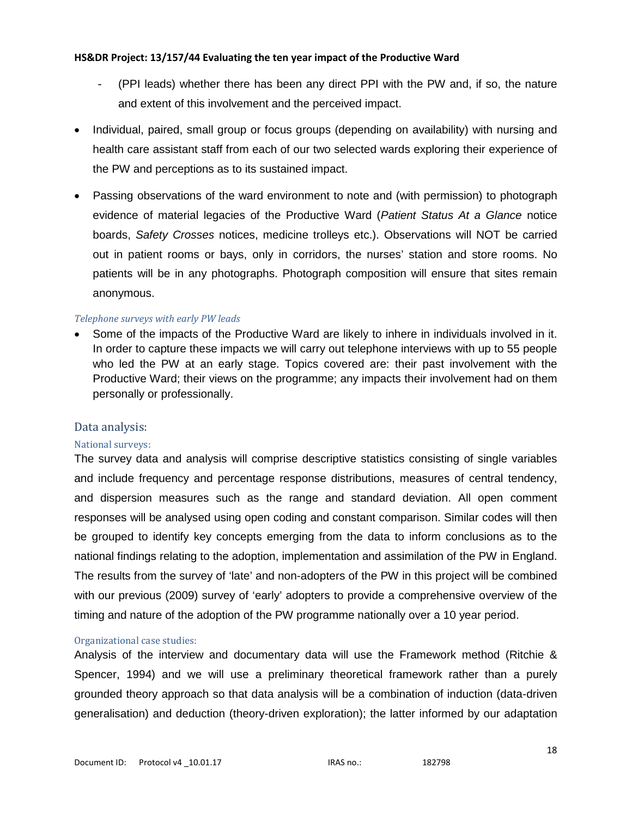- (PPI leads) whether there has been any direct PPI with the PW and, if so, the nature and extent of this involvement and the perceived impact.
- Individual, paired, small group or focus groups (depending on availability) with nursing and health care assistant staff from each of our two selected wards exploring their experience of the PW and perceptions as to its sustained impact.
- Passing observations of the ward environment to note and (with permission) to photograph evidence of material legacies of the Productive Ward (*Patient Status At a Glance* notice boards, *Safety Crosses* notices, medicine trolleys etc.). Observations will NOT be carried out in patient rooms or bays, only in corridors, the nurses' station and store rooms. No patients will be in any photographs. Photograph composition will ensure that sites remain anonymous.

### *Telephone surveys with early PW leads*

• Some of the impacts of the Productive Ward are likely to inhere in individuals involved in it. In order to capture these impacts we will carry out telephone interviews with up to 55 people who led the PW at an early stage. Topics covered are: their past involvement with the Productive Ward; their views on the programme; any impacts their involvement had on them personally or professionally.

### Data analysis:

### National surveys:

The survey data and analysis will comprise descriptive statistics consisting of single variables and include frequency and percentage response distributions, measures of central tendency, and dispersion measures such as the range and standard deviation. All open comment responses will be analysed using open coding and constant comparison. Similar codes will then be grouped to identify key concepts emerging from the data to inform conclusions as to the national findings relating to the adoption, implementation and assimilation of the PW in England. The results from the survey of 'late' and non-adopters of the PW in this project will be combined with our previous (2009) survey of 'early' adopters to provide a comprehensive overview of the timing and nature of the adoption of the PW programme nationally over a 10 year period.

### Organizational case studies:

Analysis of the interview and documentary data will use the Framework method (Ritchie & Spencer, 1994) and we will use a preliminary theoretical framework rather than a purely grounded theory approach so that data analysis will be a combination of induction (data-driven generalisation) and deduction (theory-driven exploration); the latter informed by our adaptation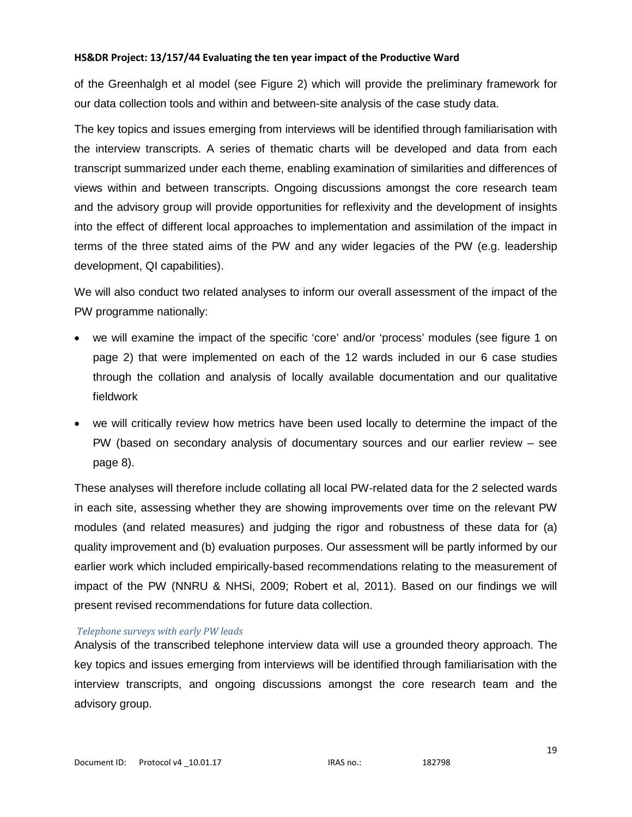of the Greenhalgh et al model (see Figure 2) which will provide the preliminary framework for our data collection tools and within and between-site analysis of the case study data.

The key topics and issues emerging from interviews will be identified through familiarisation with the interview transcripts. A series of thematic charts will be developed and data from each transcript summarized under each theme, enabling examination of similarities and differences of views within and between transcripts. Ongoing discussions amongst the core research team and the advisory group will provide opportunities for reflexivity and the development of insights into the effect of different local approaches to implementation and assimilation of the impact in terms of the three stated aims of the PW and any wider legacies of the PW (e.g. leadership development, QI capabilities).

We will also conduct two related analyses to inform our overall assessment of the impact of the PW programme nationally:

- we will examine the impact of the specific 'core' and/or 'process' modules (see figure 1 on page 2) that were implemented on each of the 12 wards included in our 6 case studies through the collation and analysis of locally available documentation and our qualitative fieldwork
- we will critically review how metrics have been used locally to determine the impact of the PW (based on secondary analysis of documentary sources and our earlier review – see page 8).

These analyses will therefore include collating all local PW-related data for the 2 selected wards in each site, assessing whether they are showing improvements over time on the relevant PW modules (and related measures) and judging the rigor and robustness of these data for (a) quality improvement and (b) evaluation purposes. Our assessment will be partly informed by our earlier work which included empirically-based recommendations relating to the measurement of impact of the PW (NNRU & NHSi, 2009; Robert et al, 2011). Based on our findings we will present revised recommendations for future data collection.

### *Telephone surveys with early PW leads*

Analysis of the transcribed telephone interview data will use a grounded theory approach. The key topics and issues emerging from interviews will be identified through familiarisation with the interview transcripts, and ongoing discussions amongst the core research team and the advisory group.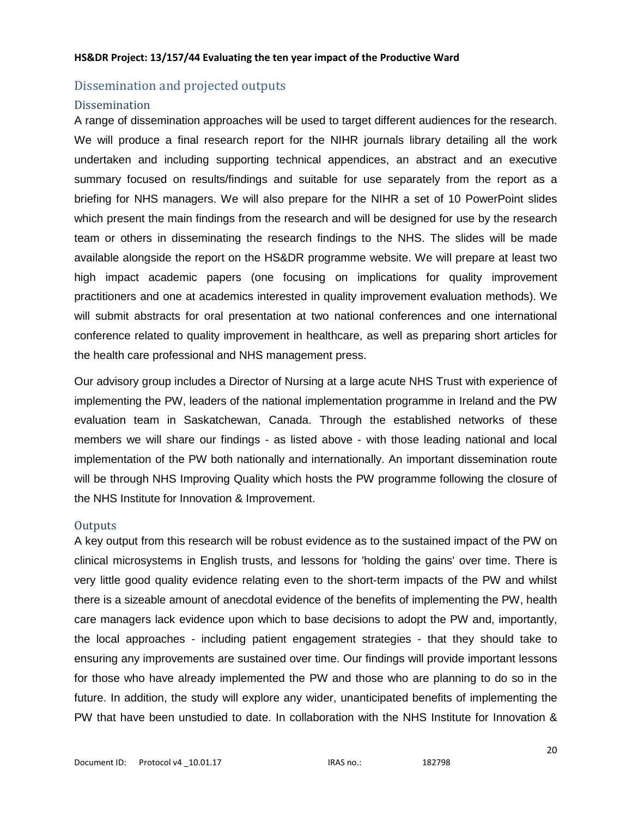# Dissemination and projected outputs

## Dissemination

A range of dissemination approaches will be used to target different audiences for the research. We will produce a final research report for the NIHR journals library detailing all the work undertaken and including supporting technical appendices, an abstract and an executive summary focused on results/findings and suitable for use separately from the report as a briefing for NHS managers. We will also prepare for the NIHR a set of 10 PowerPoint slides which present the main findings from the research and will be designed for use by the research team or others in disseminating the research findings to the NHS. The slides will be made available alongside the report on the HS&DR programme website. We will prepare at least two high impact academic papers (one focusing on implications for quality improvement practitioners and one at academics interested in quality improvement evaluation methods). We will submit abstracts for oral presentation at two national conferences and one international conference related to quality improvement in healthcare, as well as preparing short articles for the health care professional and NHS management press.

Our advisory group includes a Director of Nursing at a large acute NHS Trust with experience of implementing the PW, leaders of the national implementation programme in Ireland and the PW evaluation team in Saskatchewan, Canada. Through the established networks of these members we will share our findings - as listed above - with those leading national and local implementation of the PW both nationally and internationally. An important dissemination route will be through NHS Improving Quality which hosts the PW programme following the closure of the NHS Institute for Innovation & Improvement.

# **Outputs**

A key output from this research will be robust evidence as to the sustained impact of the PW on clinical microsystems in English trusts, and lessons for 'holding the gains' over time. There is very little good quality evidence relating even to the short-term impacts of the PW and whilst there is a sizeable amount of anecdotal evidence of the benefits of implementing the PW, health care managers lack evidence upon which to base decisions to adopt the PW and, importantly, the local approaches - including patient engagement strategies - that they should take to ensuring any improvements are sustained over time. Our findings will provide important lessons for those who have already implemented the PW and those who are planning to do so in the future. In addition, the study will explore any wider, unanticipated benefits of implementing the PW that have been unstudied to date. In collaboration with the NHS Institute for Innovation &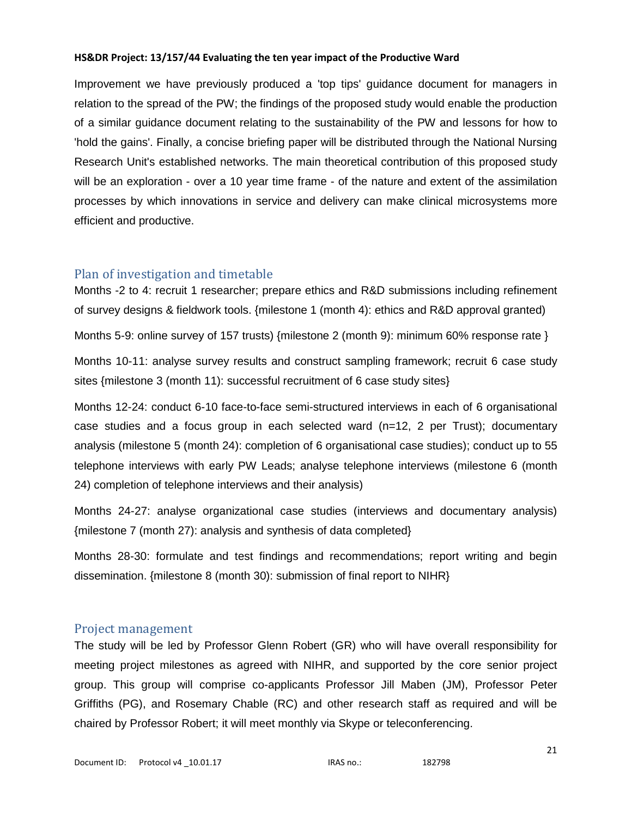Improvement we have previously produced a 'top tips' guidance document for managers in relation to the spread of the PW; the findings of the proposed study would enable the production of a similar guidance document relating to the sustainability of the PW and lessons for how to 'hold the gains'. Finally, a concise briefing paper will be distributed through the National Nursing Research Unit's established networks. The main theoretical contribution of this proposed study will be an exploration - over a 10 year time frame - of the nature and extent of the assimilation processes by which innovations in service and delivery can make clinical microsystems more efficient and productive.

# Plan of investigation and timetable

Months -2 to 4: recruit 1 researcher; prepare ethics and R&D submissions including refinement of survey designs & fieldwork tools. {milestone 1 (month 4): ethics and R&D approval granted)

Months 5-9: online survey of 157 trusts) {milestone 2 (month 9): minimum 60% response rate }

Months 10-11: analyse survey results and construct sampling framework; recruit 6 case study sites {milestone 3 (month 11): successful recruitment of 6 case study sites}

Months 12-24: conduct 6-10 face-to-face semi-structured interviews in each of 6 organisational case studies and a focus group in each selected ward (n=12, 2 per Trust); documentary analysis (milestone 5 (month 24): completion of 6 organisational case studies); conduct up to 55 telephone interviews with early PW Leads; analyse telephone interviews (milestone 6 (month 24) completion of telephone interviews and their analysis)

Months 24-27: analyse organizational case studies (interviews and documentary analysis) {milestone 7 (month 27): analysis and synthesis of data completed}

Months 28-30: formulate and test findings and recommendations; report writing and begin dissemination. {milestone 8 (month 30): submission of final report to NIHR}

# Project management

The study will be led by Professor Glenn Robert (GR) who will have overall responsibility for meeting project milestones as agreed with NIHR, and supported by the core senior project group. This group will comprise co-applicants Professor Jill Maben (JM), Professor Peter Griffiths (PG), and Rosemary Chable (RC) and other research staff as required and will be chaired by Professor Robert; it will meet monthly via Skype or teleconferencing.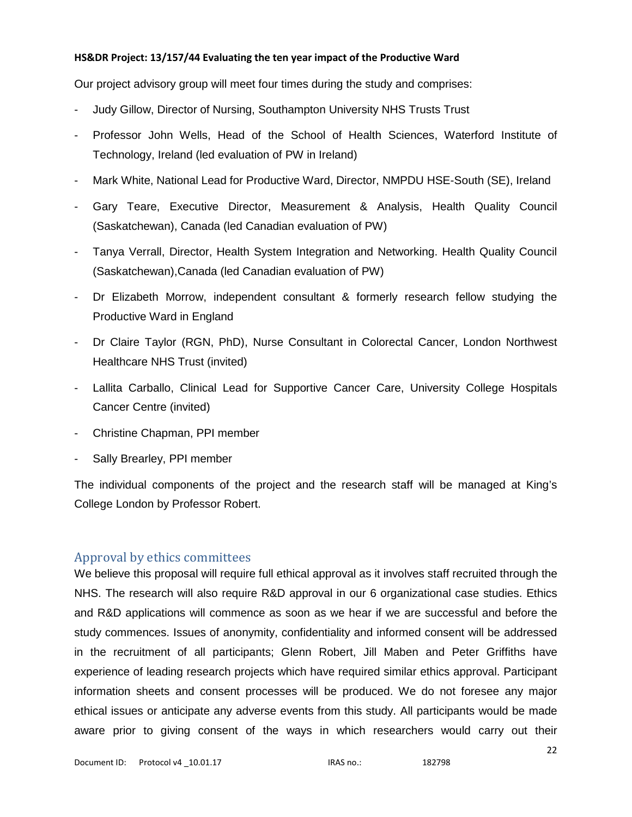Our project advisory group will meet four times during the study and comprises:

- Judy Gillow, Director of Nursing, Southampton University NHS Trusts Trust
- Professor John Wells, Head of the School of Health Sciences, Waterford Institute of Technology, Ireland (led evaluation of PW in Ireland)
- Mark White, National Lead for Productive Ward, Director, NMPDU HSE-South (SE), Ireland
- Gary Teare, Executive Director, Measurement & Analysis, Health Quality Council (Saskatchewan), Canada (led Canadian evaluation of PW)
- Tanya Verrall, Director, Health System Integration and Networking. Health Quality Council (Saskatchewan),Canada (led Canadian evaluation of PW)
- Dr Elizabeth Morrow, independent consultant & formerly research fellow studying the Productive Ward in England
- Dr Claire Taylor (RGN, PhD), Nurse Consultant in Colorectal Cancer, London Northwest Healthcare NHS Trust (invited)
- Lallita Carballo, Clinical Lead for Supportive Cancer Care, University College Hospitals Cancer Centre (invited)
- Christine Chapman, PPI member
- Sally Brearley, PPI member

The individual components of the project and the research staff will be managed at King's College London by Professor Robert.

# Approval by ethics committees

We believe this proposal will require full ethical approval as it involves staff recruited through the NHS. The research will also require R&D approval in our 6 organizational case studies. Ethics and R&D applications will commence as soon as we hear if we are successful and before the study commences. Issues of anonymity, confidentiality and informed consent will be addressed in the recruitment of all participants; Glenn Robert, Jill Maben and Peter Griffiths have experience of leading research projects which have required similar ethics approval. Participant information sheets and consent processes will be produced. We do not foresee any major ethical issues or anticipate any adverse events from this study. All participants would be made aware prior to giving consent of the ways in which researchers would carry out their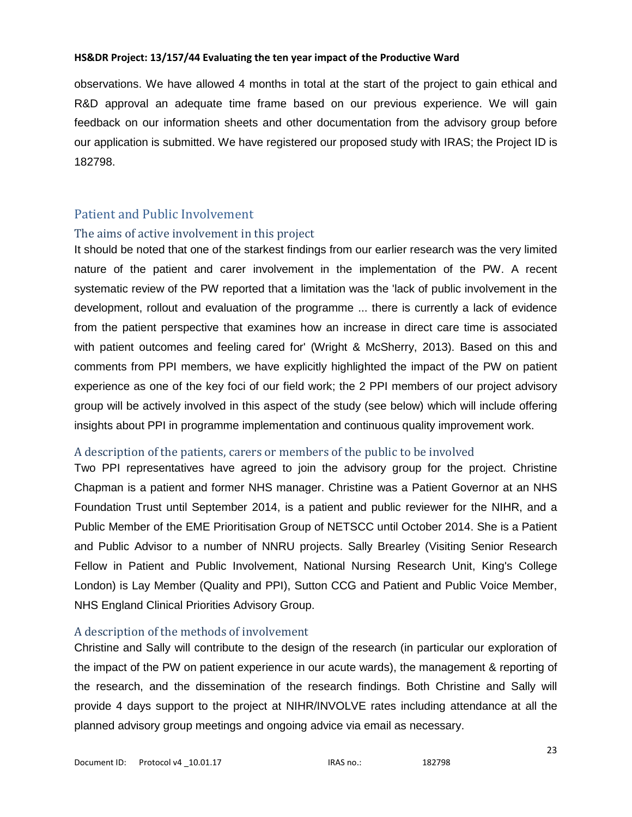observations. We have allowed 4 months in total at the start of the project to gain ethical and R&D approval an adequate time frame based on our previous experience. We will gain feedback on our information sheets and other documentation from the advisory group before our application is submitted. We have registered our proposed study with IRAS; the Project ID is 182798.

# Patient and Public Involvement

# The aims of active involvement in this project

It should be noted that one of the starkest findings from our earlier research was the very limited nature of the patient and carer involvement in the implementation of the PW. A recent systematic review of the PW reported that a limitation was the 'lack of public involvement in the development, rollout and evaluation of the programme ... there is currently a lack of evidence from the patient perspective that examines how an increase in direct care time is associated with patient outcomes and feeling cared for' (Wright & McSherry, 2013). Based on this and comments from PPI members, we have explicitly highlighted the impact of the PW on patient experience as one of the key foci of our field work; the 2 PPI members of our project advisory group will be actively involved in this aspect of the study (see below) which will include offering insights about PPI in programme implementation and continuous quality improvement work.

# A description of the patients, carers or members of the public to be involved

Two PPI representatives have agreed to join the advisory group for the project. Christine Chapman is a patient and former NHS manager. Christine was a Patient Governor at an NHS Foundation Trust until September 2014, is a patient and public reviewer for the NIHR, and a Public Member of the EME Prioritisation Group of NETSCC until October 2014. She is a Patient and Public Advisor to a number of NNRU projects. Sally Brearley (Visiting Senior Research Fellow in Patient and Public Involvement, National Nursing Research Unit, King's College London) is Lay Member (Quality and PPI), Sutton CCG and Patient and Public Voice Member, NHS England Clinical Priorities Advisory Group.

# A description of the methods of involvement

Christine and Sally will contribute to the design of the research (in particular our exploration of the impact of the PW on patient experience in our acute wards), the management & reporting of the research, and the dissemination of the research findings. Both Christine and Sally will provide 4 days support to the project at NIHR/INVOLVE rates including attendance at all the planned advisory group meetings and ongoing advice via email as necessary.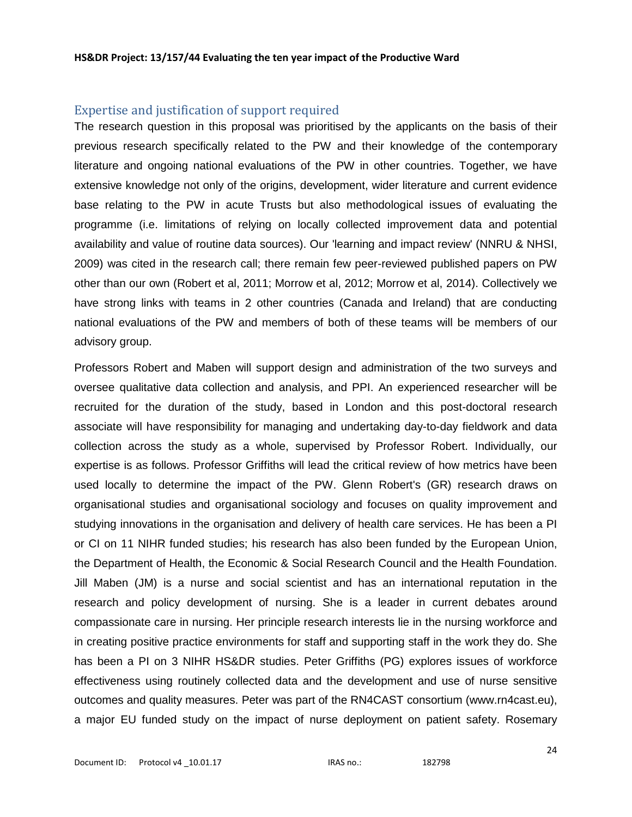# Expertise and justification of support required

The research question in this proposal was prioritised by the applicants on the basis of their previous research specifically related to the PW and their knowledge of the contemporary literature and ongoing national evaluations of the PW in other countries. Together, we have extensive knowledge not only of the origins, development, wider literature and current evidence base relating to the PW in acute Trusts but also methodological issues of evaluating the programme (i.e. limitations of relying on locally collected improvement data and potential availability and value of routine data sources). Our 'learning and impact review' (NNRU & NHSI, 2009) was cited in the research call; there remain few peer-reviewed published papers on PW other than our own (Robert et al, 2011; Morrow et al, 2012; Morrow et al, 2014). Collectively we have strong links with teams in 2 other countries (Canada and Ireland) that are conducting national evaluations of the PW and members of both of these teams will be members of our advisory group.

Professors Robert and Maben will support design and administration of the two surveys and oversee qualitative data collection and analysis, and PPI. An experienced researcher will be recruited for the duration of the study, based in London and this post-doctoral research associate will have responsibility for managing and undertaking day-to-day fieldwork and data collection across the study as a whole, supervised by Professor Robert. Individually, our expertise is as follows. Professor Griffiths will lead the critical review of how metrics have been used locally to determine the impact of the PW. Glenn Robert's (GR) research draws on organisational studies and organisational sociology and focuses on quality improvement and studying innovations in the organisation and delivery of health care services. He has been a PI or CI on 11 NIHR funded studies; his research has also been funded by the European Union, the Department of Health, the Economic & Social Research Council and the Health Foundation. Jill Maben (JM) is a nurse and social scientist and has an international reputation in the research and policy development of nursing. She is a leader in current debates around compassionate care in nursing. Her principle research interests lie in the nursing workforce and in creating positive practice environments for staff and supporting staff in the work they do. She has been a PI on 3 NIHR HS&DR studies. Peter Griffiths (PG) explores issues of workforce effectiveness using routinely collected data and the development and use of nurse sensitive outcomes and quality measures. Peter was part of the RN4CAST consortium (www.rn4cast.eu), a major EU funded study on the impact of nurse deployment on patient safety. Rosemary